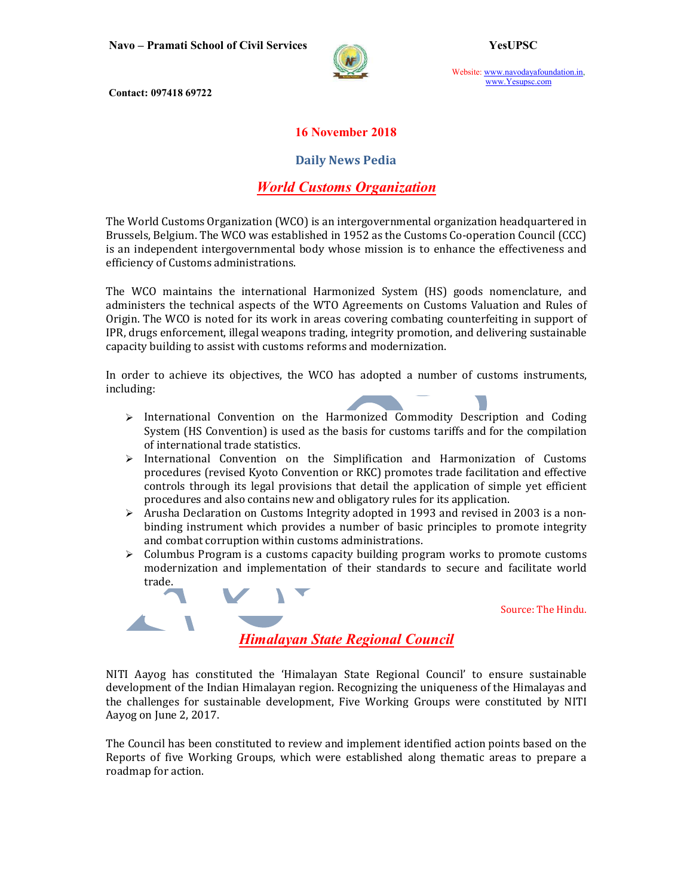

Website: www.navodayafoundation.in, www.Yesupsc.com

Contact: 097418 69722

### 16 November 2018

### Daily News Pedia

### World Customs Organization

The World Customs Organization (WCO) is an intergovernmental organization headquartered in Brussels, Belgium. The WCO was established in 1952 as the Customs Co-operation Council (CCC) is an independent intergovernmental body whose mission is to enhance the effectiveness and efficiency of Customs administrations.

The WCO maintains the international Harmonized System (HS) goods nomenclature, and administers the technical aspects of the WTO Agreements on Customs Valuation and Rules of Origin. The WCO is noted for its work in areas covering combating counterfeiting in support of IPR, drugs enforcement, illegal weapons trading, integrity promotion, and delivering sustainable capacity building to assist with customs reforms and modernization.

In order to achieve its objectives, the WCO has adopted a number of customs instruments, including:

- $\triangleright$  International Convention on the Harmonized Commodity Description and Coding System (HS Convention) is used as the basis for customs tariffs and for the compilation of international trade statistics.
- $\triangleright$  International Convention on the Simplification and Harmonization of Customs procedures (revised Kyoto Convention or RKC) promotes trade facilitation and effective controls through its legal provisions that detail the application of simple yet efficient procedures and also contains new and obligatory rules for its application.
- $\triangleright$  Arusha Declaration on Customs Integrity adopted in 1993 and revised in 2003 is a nonbinding instrument which provides a number of basic principles to promote integrity and combat corruption within customs administrations.
- $\triangleright$  Columbus Program is a customs capacity building program works to promote customs modernization and implementation of their standards to secure and facilitate world trade.

Source: The Hindu.

Himalayan State Regional Council

NITI Aayog has constituted the 'Himalayan State Regional Council' to ensure sustainable development of the Indian Himalayan region. Recognizing the uniqueness of the Himalayas and the challenges for sustainable development, Five Working Groups were constituted by NITI Aayog on June 2, 2017.

The Council has been constituted to review and implement identified action points based on the Reports of five Working Groups, which were established along thematic areas to prepare a roadmap for action.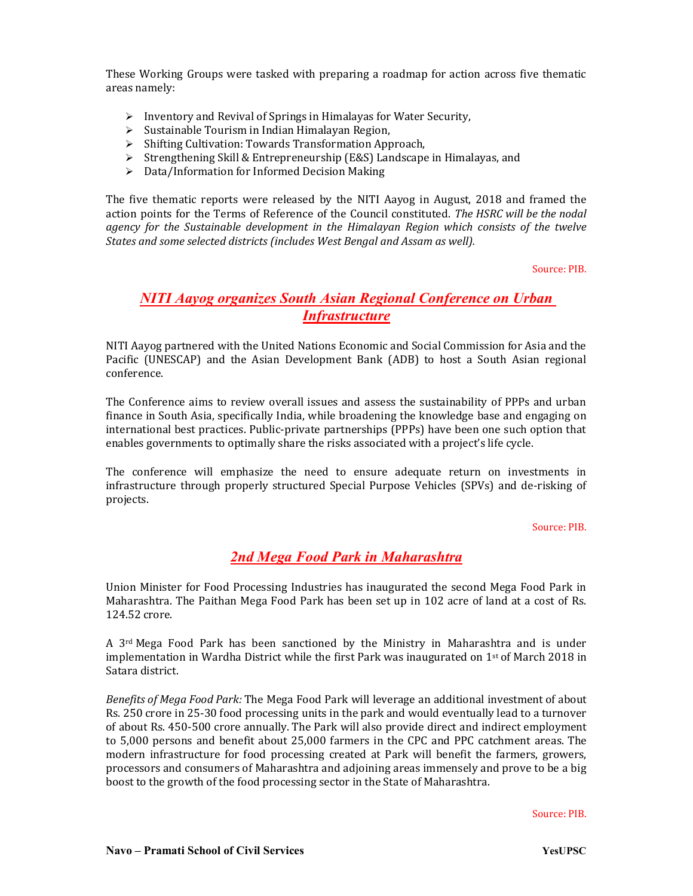These Working Groups were tasked with preparing a roadmap for action across five thematic areas namely:

- $\triangleright$  Inventory and Revival of Springs in Himalayas for Water Security,
- $\triangleright$  Sustainable Tourism in Indian Himalayan Region,
- $\triangleright$  Shifting Cultivation: Towards Transformation Approach,
- $\triangleright$  Strengthening Skill & Entrepreneurship (E&S) Landscape in Himalayas, and
- $\triangleright$  Data/Information for Informed Decision Making

The five thematic reports were released by the NITI Aayog in August, 2018 and framed the action points for the Terms of Reference of the Council constituted. The HSRC will be the nodal agency for the Sustainable development in the Himalayan Region which consists of the twelve States and some selected districts (includes West Bengal and Assam as well).

Source: PIB.

## NITI Aayog organizes South Asian Regional Conference on Urban **Infrastructure**

NITI Aayog partnered with the United Nations Economic and Social Commission for Asia and the Pacific (UNESCAP) and the Asian Development Bank (ADB) to host a South Asian regional conference.

The Conference aims to review overall issues and assess the sustainability of PPPs and urban finance in South Asia, specifically India, while broadening the knowledge base and engaging on international best practices. Public-private partnerships (PPPs) have been one such option that enables governments to optimally share the risks associated with a project's life cycle.

The conference will emphasize the need to ensure adequate return on investments in infrastructure through properly structured Special Purpose Vehicles (SPVs) and de-risking of projects.

#### Source: PIB.

## 2nd Mega Food Park in Maharashtra

Union Minister for Food Processing Industries has inaugurated the second Mega Food Park in Maharashtra. The Paithan Mega Food Park has been set up in 102 acre of land at a cost of Rs. 124.52 crore.

A 3rd Mega Food Park has been sanctioned by the Ministry in Maharashtra and is under implementation in Wardha District while the first Park was inaugurated on  $1<sup>st</sup>$  of March 2018 in Satara district.

Benefits of Mega Food Park: The Mega Food Park will leverage an additional investment of about Rs. 250 crore in 25-30 food processing units in the park and would eventually lead to a turnover of about Rs. 450-500 crore annually. The Park will also provide direct and indirect employment to 5,000 persons and benefit about 25,000 farmers in the CPC and PPC catchment areas. The modern infrastructure for food processing created at Park will benefit the farmers, growers, processors and consumers of Maharashtra and adjoining areas immensely and prove to be a big boost to the growth of the food processing sector in the State of Maharashtra.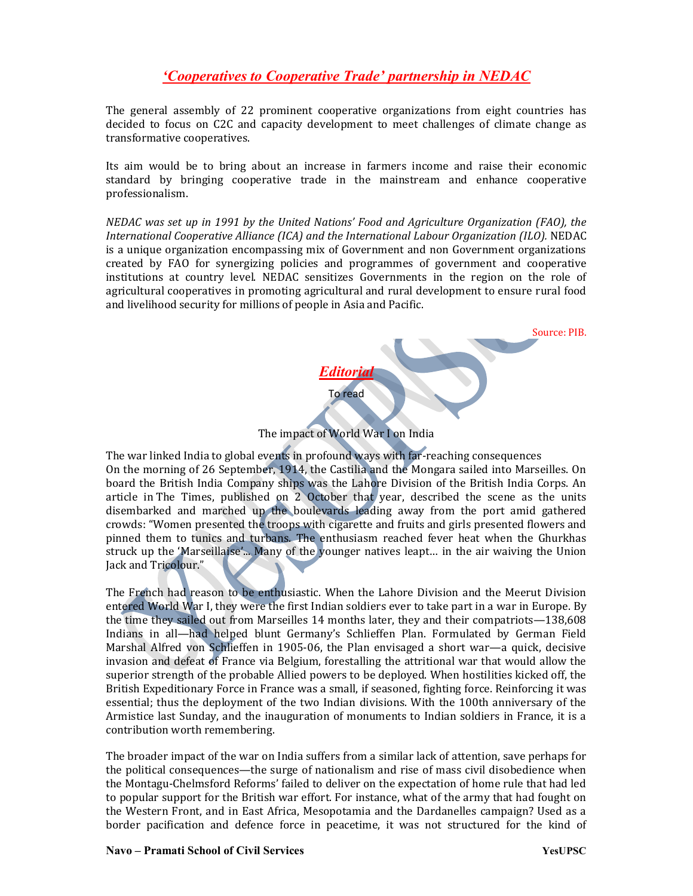# 'Cooperatives to Cooperative Trade' partnership in NEDAC

The general assembly of 22 prominent cooperative organizations from eight countries has decided to focus on C2C and capacity development to meet challenges of climate change as transformative cooperatives.

Its aim would be to bring about an increase in farmers income and raise their economic standard by bringing cooperative trade in the mainstream and enhance cooperative professionalism.

NEDAC was set up in 1991 by the United Nations' Food and Agriculture Organization (FAO), the International Cooperative Alliance (ICA) and the International Labour Organization (ILO). NEDAC is a unique organization encompassing mix of Government and non Government organizations created by FAO for synergizing policies and programmes of government and cooperative institutions at country level. NEDAC sensitizes Governments in the region on the role of agricultural cooperatives in promoting agricultural and rural development to ensure rural food and livelihood security for millions of people in Asia and Pacific.



The impact of World War I on India

The war linked India to global events in profound ways with far-reaching consequences On the morning of 26 September, 1914, the Castilia and the Mongara sailed into Marseilles. On board the British India Company ships was the Lahore Division of the British India Corps. An article in The Times, published on 2 October that year, described the scene as the units disembarked and marched up the boulevards leading away from the port amid gathered crowds: "Women presented the troops with cigarette and fruits and girls presented flowers and pinned them to tunics and turbans. The enthusiasm reached fever heat when the Ghurkhas struck up the 'Marseillaise'... Many of the younger natives leapt… in the air waiving the Union Jack and Tricolour."

The French had reason to be enthusiastic. When the Lahore Division and the Meerut Division entered World War I, they were the first Indian soldiers ever to take part in a war in Europe. By the time they sailed out from Marseilles 14 months later, they and their compatriots—138,608 Indians in all—had helped blunt Germany's Schlieffen Plan. Formulated by German Field Marshal Alfred von Schlieffen in 1905-06, the Plan envisaged a short war—a quick, decisive invasion and defeat of France via Belgium, forestalling the attritional war that would allow the superior strength of the probable Allied powers to be deployed. When hostilities kicked off, the British Expeditionary Force in France was a small, if seasoned, fighting force. Reinforcing it was essential; thus the deployment of the two Indian divisions. With the 100th anniversary of the Armistice last Sunday, and the inauguration of monuments to Indian soldiers in France, it is a contribution worth remembering.

The broader impact of the war on India suffers from a similar lack of attention, save perhaps for the political consequences—the surge of nationalism and rise of mass civil disobedience when the Montagu-Chelmsford Reforms' failed to deliver on the expectation of home rule that had led to popular support for the British war effort. For instance, what of the army that had fought on the Western Front, and in East Africa, Mesopotamia and the Dardanelles campaign? Used as a border pacification and defence force in peacetime, it was not structured for the kind of